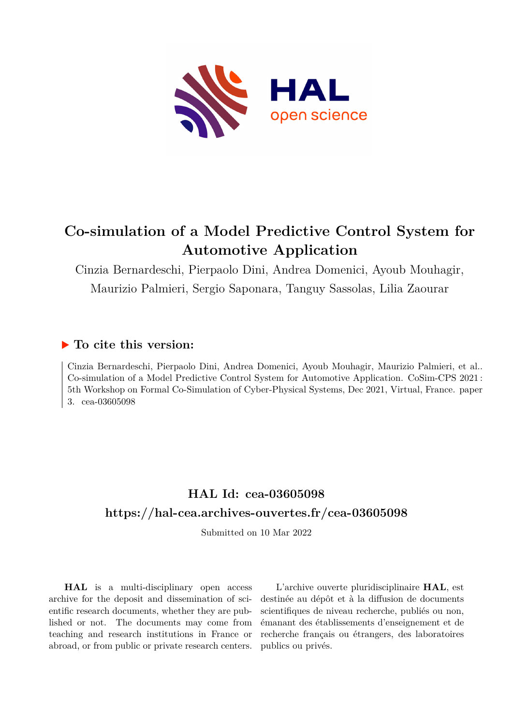

# **Co-simulation of a Model Predictive Control System for Automotive Application**

Cinzia Bernardeschi, Pierpaolo Dini, Andrea Domenici, Ayoub Mouhagir, Maurizio Palmieri, Sergio Saponara, Tanguy Sassolas, Lilia Zaourar

# **To cite this version:**

Cinzia Bernardeschi, Pierpaolo Dini, Andrea Domenici, Ayoub Mouhagir, Maurizio Palmieri, et al.. Co-simulation of a Model Predictive Control System for Automotive Application. CoSim-CPS 2021 : 5th Workshop on Formal Co-Simulation of Cyber-Physical Systems, Dec 2021, Virtual, France. paper 3. cea-03605098

# **HAL Id: cea-03605098 <https://hal-cea.archives-ouvertes.fr/cea-03605098>**

Submitted on 10 Mar 2022

**HAL** is a multi-disciplinary open access archive for the deposit and dissemination of scientific research documents, whether they are published or not. The documents may come from teaching and research institutions in France or abroad, or from public or private research centers.

L'archive ouverte pluridisciplinaire **HAL**, est destinée au dépôt et à la diffusion de documents scientifiques de niveau recherche, publiés ou non, émanant des établissements d'enseignement et de recherche français ou étrangers, des laboratoires publics ou privés.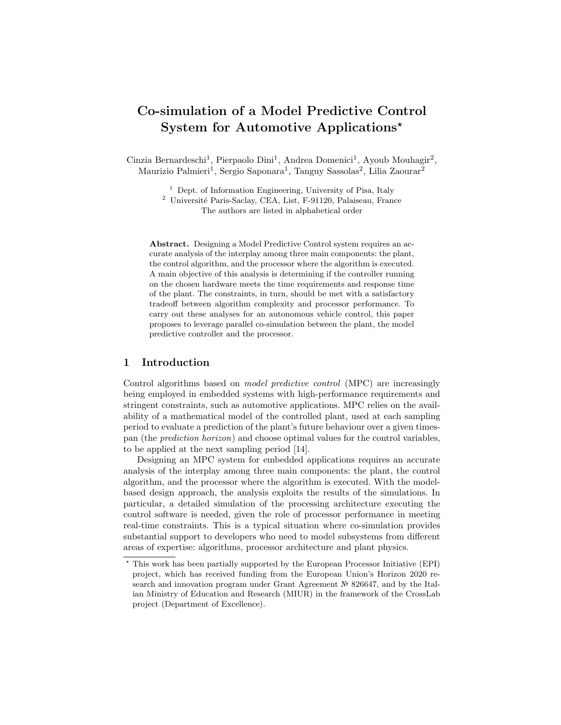# Co-simulation of a Model Predictive Control System for Automotive Applications<sup>\*</sup>

Cinzia Bernardeschi<sup>1</sup>, Pierpaolo Dini<sup>1</sup>, Andrea Domenici<sup>1</sup>, Ayoub Mouhagir<sup>2</sup>, Maurizio Palmieri<sup>1</sup>, Sergio Saponara<sup>1</sup>, Tanguy Sassolas<sup>2</sup>, Lilia Zaourar<sup>2</sup>

<sup>1</sup> Dept. of Information Engineering, University of Pisa, Italy

<sup>2</sup> Université Paris-Saclay, CEA, List, F-91120, Palaiseau, France The authors are listed in alphabetical order

Abstract. Designing a Model Predictive Control system requires an accurate analysis of the interplay among three main components: the plant, the control algorithm, and the processor where the algorithm is executed. A main objective of this analysis is determining if the controller running on the chosen hardware meets the time requirements and response time of the plant. The constraints, in turn, should be met with a satisfactory tradeoff between algorithm complexity and processor performance. To carry out these analyses for an autonomous vehicle control, this paper proposes to leverage parallel co-simulation between the plant, the model predictive controller and the processor.

## 1 Introduction

Control algorithms based on model predictive control (MPC) are increasingly being employed in embedded systems with high-performance requirements and stringent constraints, such as automotive applications. MPC relies on the availability of a mathematical model of the controlled plant, used at each sampling period to evaluate a prediction of the plant's future behaviour over a given timespan (the prediction horizon) and choose optimal values for the control variables, to be applied at the next sampling period [14].

Designing an MPC system for embedded applications requires an accurate analysis of the interplay among three main components: the plant, the control algorithm, and the processor where the algorithm is executed. With the modelbased design approach, the analysis exploits the results of the simulations. In particular, a detailed simulation of the processing architecture executing the control software is needed, given the role of processor performance in meeting real-time constraints. This is a typical situation where co-simulation provides substantial support to developers who need to model subsystems from different areas of expertise: algorithms, processor architecture and plant physics.

<sup>?</sup> This work has been partially supported by the European Processor Initiative (EPI) project, which has received funding from the European Union's Horizon 2020 research and innovation program under Grant Agreement № 826647, and by the Italian Ministry of Education and Research (MIUR) in the framework of the CrossLab project (Department of Excellence).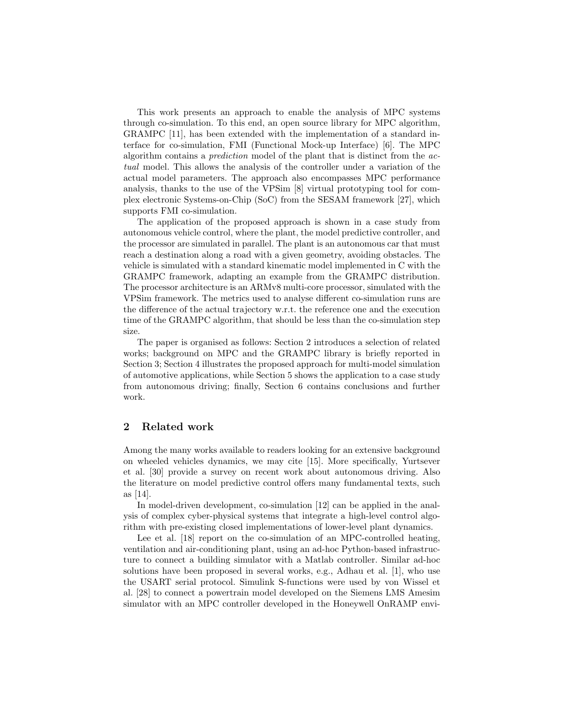This work presents an approach to enable the analysis of MPC systems through co-simulation. To this end, an open source library for MPC algorithm, GRAMPC [11], has been extended with the implementation of a standard interface for co-simulation, FMI (Functional Mock-up Interface) [6]. The MPC algorithm contains a prediction model of the plant that is distinct from the actual model. This allows the analysis of the controller under a variation of the actual model parameters. The approach also encompasses MPC performance analysis, thanks to the use of the VPSim [8] virtual prototyping tool for complex electronic Systems-on-Chip (SoC) from the SESAM framework [27], which supports FMI co-simulation.

The application of the proposed approach is shown in a case study from autonomous vehicle control, where the plant, the model predictive controller, and the processor are simulated in parallel. The plant is an autonomous car that must reach a destination along a road with a given geometry, avoiding obstacles. The vehicle is simulated with a standard kinematic model implemented in C with the GRAMPC framework, adapting an example from the GRAMPC distribution. The processor architecture is an ARMv8 multi-core processor, simulated with the VPSim framework. The metrics used to analyse different co-simulation runs are the difference of the actual trajectory w.r.t. the reference one and the execution time of the GRAMPC algorithm, that should be less than the co-simulation step size.

The paper is organised as follows: Section 2 introduces a selection of related works; background on MPC and the GRAMPC library is briefly reported in Section 3; Section 4 illustrates the proposed approach for multi-model simulation of automotive applications, while Section 5 shows the application to a case study from autonomous driving; finally, Section 6 contains conclusions and further work.

## 2 Related work

Among the many works available to readers looking for an extensive background on wheeled vehicles dynamics, we may cite [15]. More specifically, Yurtsever et al. [30] provide a survey on recent work about autonomous driving. Also the literature on model predictive control offers many fundamental texts, such as [14].

In model-driven development, co-simulation [12] can be applied in the analysis of complex cyber-physical systems that integrate a high-level control algorithm with pre-existing closed implementations of lower-level plant dynamics.

Lee et al. [18] report on the co-simulation of an MPC-controlled heating, ventilation and air-conditioning plant, using an ad-hoc Python-based infrastructure to connect a building simulator with a Matlab controller. Similar ad-hoc solutions have been proposed in several works, e.g., Adhau et al. [1], who use the USART serial protocol. Simulink S-functions were used by von Wissel et al. [28] to connect a powertrain model developed on the Siemens LMS Amesim simulator with an MPC controller developed in the Honeywell OnRAMP envi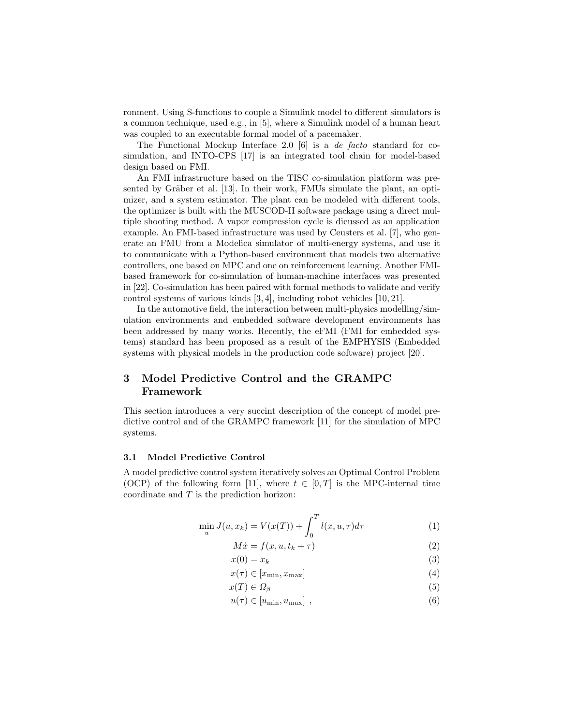ronment. Using S-functions to couple a Simulink model to different simulators is a common technique, used e.g., in [5], where a Simulink model of a human heart was coupled to an executable formal model of a pacemaker.

The Functional Mockup Interface 2.0 [6] is a de facto standard for cosimulation, and INTO-CPS [17] is an integrated tool chain for model-based design based on FMI.

An FMI infrastructure based on the TISC co-simulation platform was presented by Gräber et al. [13]. In their work, FMUs simulate the plant, an optimizer, and a system estimator. The plant can be modeled with different tools, the optimizer is built with the MUSCOD-II software package using a direct multiple shooting method. A vapor compression cycle is dicussed as an application example. An FMI-based infrastructure was used by Ceusters et al. [7], who generate an FMU from a Modelica simulator of multi-energy systems, and use it to communicate with a Python-based environment that models two alternative controllers, one based on MPC and one on reinforcement learning. Another FMIbased framework for co-simulation of human-machine interfaces was presented in [22]. Co-simulation has been paired with formal methods to validate and verify control systems of various kinds [3, 4], including robot vehicles [10, 21].

In the automotive field, the interaction between multi-physics modelling/simulation environments and embedded software development environments has been addressed by many works. Recently, the eFMI (FMI for embedded systems) standard has been proposed as a result of the EMPHYSIS (Embedded systems with physical models in the production code software) project [20].

# 3 Model Predictive Control and the GRAMPC Framework

This section introduces a very succint description of the concept of model predictive control and of the GRAMPC framework [11] for the simulation of MPC systems.

#### 3.1 Model Predictive Control

A model predictive control system iteratively solves an Optimal Control Problem (OCP) of the following form [11], where  $t \in [0, T]$  is the MPC-internal time coordinate and  $T$  is the prediction horizon:

$$
\min_{u} J(u, x_k) = V(x(T)) + \int_0^T l(x, u, \tau) d\tau
$$
\n(1)

$$
M\dot{x} = f(x, u, t_k + \tau) \tag{2}
$$

$$
x(0) = x_k \tag{3}
$$

$$
x(\tau) \in [x_{\min}, x_{\max}] \tag{4}
$$

$$
x(T) \in \Omega_{\beta} \tag{5}
$$

 $u(\tau) \in [u_{\min}, u_{\max}]$ , (6)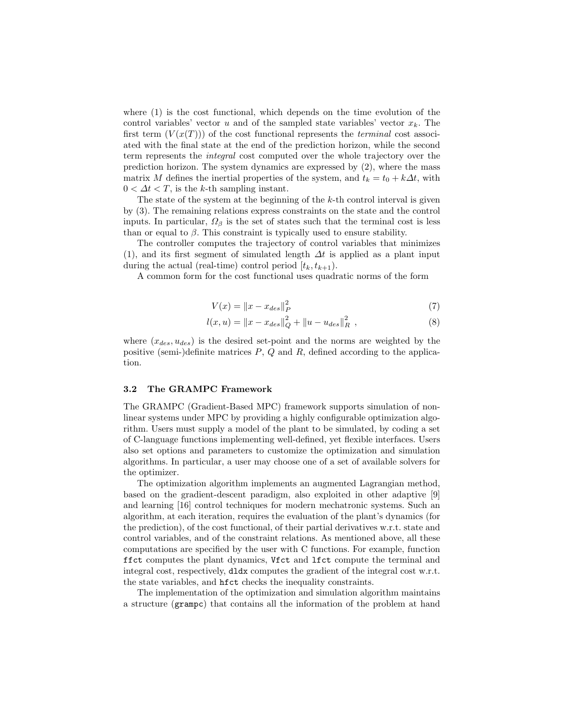where (1) is the cost functional, which depends on the time evolution of the control variables' vector u and of the sampled state variables' vector  $x_k$ . The first term  $(V(x(T)))$  of the cost functional represents the *terminal* cost associated with the final state at the end of the prediction horizon, while the second term represents the integral cost computed over the whole trajectory over the prediction horizon. The system dynamics are expressed by  $(2)$ , where the mass matrix M defines the inertial properties of the system, and  $t_k = t_0 + k\Delta t$ , with  $0 < \Delta t < T$ , is the k-th sampling instant.

The state of the system at the beginning of the  $k$ -th control interval is given by (3). The remaining relations express constraints on the state and the control inputs. In particular,  $\Omega_{\beta}$  is the set of states such that the terminal cost is less than or equal to  $\beta$ . This constraint is typically used to ensure stability.

The controller computes the trajectory of control variables that minimizes (1), and its first segment of simulated length  $\Delta t$  is applied as a plant input during the actual (real-time) control period  $[t_k, t_{k+1})$ .

A common form for the cost functional uses quadratic norms of the form

$$
V(x) = \|x - x_{des}\|_P^2
$$
\n(7)

$$
l(x, u) = ||x - x_{des}||_Q^2 + ||u - u_{des}||_R^2,
$$
\n(8)

where  $(x_{des}, u_{des})$  is the desired set-point and the norms are weighted by the positive (semi-)definite matrices  $P$ ,  $Q$  and  $R$ , defined according to the application.

#### 3.2 The GRAMPC Framework

The GRAMPC (Gradient-Based MPC) framework supports simulation of nonlinear systems under MPC by providing a highly configurable optimization algorithm. Users must supply a model of the plant to be simulated, by coding a set of C-language functions implementing well-defined, yet flexible interfaces. Users also set options and parameters to customize the optimization and simulation algorithms. In particular, a user may choose one of a set of available solvers for the optimizer.

The optimization algorithm implements an augmented Lagrangian method, based on the gradient-descent paradigm, also exploited in other adaptive [9] and learning [16] control techniques for modern mechatronic systems. Such an algorithm, at each iteration, requires the evaluation of the plant's dynamics (for the prediction), of the cost functional, of their partial derivatives w.r.t. state and control variables, and of the constraint relations. As mentioned above, all these computations are specified by the user with C functions. For example, function ffct computes the plant dynamics, Vfct and lfct compute the terminal and integral cost, respectively, dldx computes the gradient of the integral cost w.r.t. the state variables, and hfct checks the inequality constraints.

The implementation of the optimization and simulation algorithm maintains a structure (grampc) that contains all the information of the problem at hand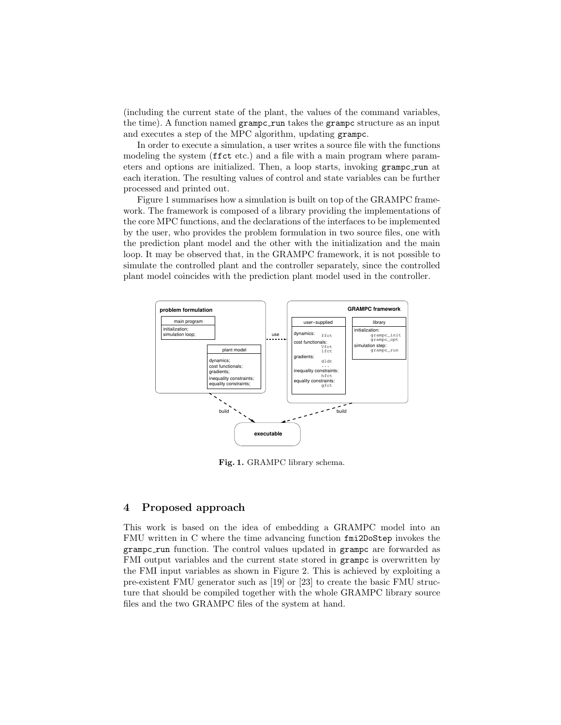(including the current state of the plant, the values of the command variables, the time). A function named grampc\_run takes the grampc structure as an input and executes a step of the MPC algorithm, updating grampc.

In order to execute a simulation, a user writes a source file with the functions modeling the system (ffct etc.) and a file with a main program where parameters and options are initialized. Then, a loop starts, invoking grampc run at each iteration. The resulting values of control and state variables can be further processed and printed out.

Figure 1 summarises how a simulation is built on top of the GRAMPC framework. The framework is composed of a library providing the implementations of the core MPC functions, and the declarations of the interfaces to be implemented by the user, who provides the problem formulation in two source files, one with the prediction plant model and the other with the initialization and the main loop. It may be observed that, in the GRAMPC framework, it is not possible to simulate the controlled plant and the controller separately, since the controlled plant model coincides with the prediction plant model used in the controller.



Fig. 1. GRAMPC library schema.

## 4 Proposed approach

This work is based on the idea of embedding a GRAMPC model into an FMU written in C where the time advancing function fmi2DoStep invokes the grampc run function. The control values updated in grampc are forwarded as FMI output variables and the current state stored in grampc is overwritten by the FMI input variables as shown in Figure 2. This is achieved by exploiting a pre-existent FMU generator such as [19] or [23] to create the basic FMU structure that should be compiled together with the whole GRAMPC library source files and the two GRAMPC files of the system at hand.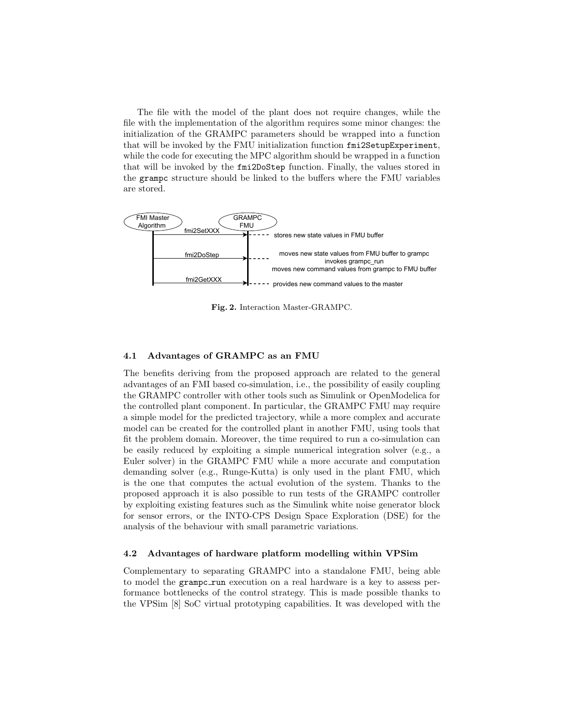The file with the model of the plant does not require changes, while the file with the implementation of the algorithm requires some minor changes: the initialization of the GRAMPC parameters should be wrapped into a function that will be invoked by the FMU initialization function fmi2SetupExperiment, while the code for executing the MPC algorithm should be wrapped in a function that will be invoked by the fmi2DoStep function. Finally, the values stored in the grampc structure should be linked to the buffers where the FMU variables are stored.



Fig. 2. Interaction Master-GRAMPC.

#### 4.1 Advantages of GRAMPC as an FMU

The benefits deriving from the proposed approach are related to the general advantages of an FMI based co-simulation, i.e., the possibility of easily coupling the GRAMPC controller with other tools such as Simulink or OpenModelica for the controlled plant component. In particular, the GRAMPC FMU may require a simple model for the predicted trajectory, while a more complex and accurate model can be created for the controlled plant in another FMU, using tools that fit the problem domain. Moreover, the time required to run a co-simulation can be easily reduced by exploiting a simple numerical integration solver (e.g., a Euler solver) in the GRAMPC FMU while a more accurate and computation demanding solver (e.g., Runge-Kutta) is only used in the plant FMU, which is the one that computes the actual evolution of the system. Thanks to the proposed approach it is also possible to run tests of the GRAMPC controller by exploiting existing features such as the Simulink white noise generator block for sensor errors, or the INTO-CPS Design Space Exploration (DSE) for the analysis of the behaviour with small parametric variations.

#### 4.2 Advantages of hardware platform modelling within VPSim

Complementary to separating GRAMPC into a standalone FMU, being able to model the grampc run execution on a real hardware is a key to assess performance bottlenecks of the control strategy. This is made possible thanks to the VPSim [8] SoC virtual prototyping capabilities. It was developed with the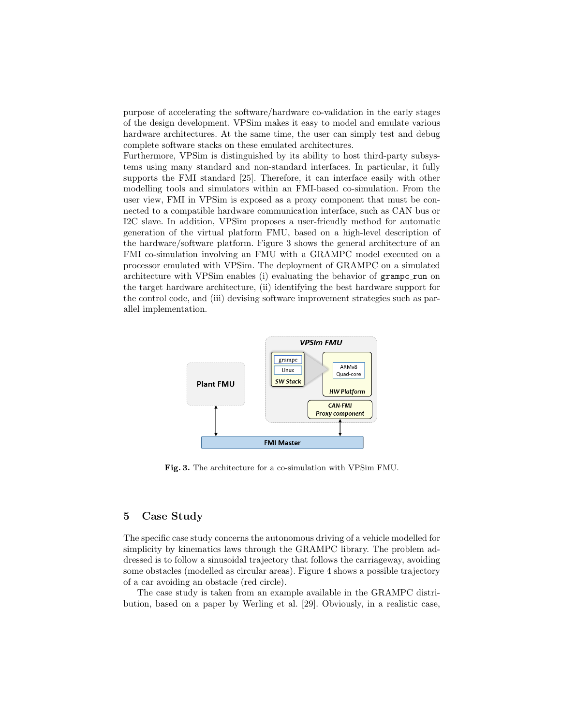purpose of accelerating the software/hardware co-validation in the early stages of the design development. VPSim makes it easy to model and emulate various hardware architectures. At the same time, the user can simply test and debug complete software stacks on these emulated architectures.

Furthermore, VPSim is distinguished by its ability to host third-party subsystems using many standard and non-standard interfaces. In particular, it fully supports the FMI standard [25]. Therefore, it can interface easily with other modelling tools and simulators within an FMI-based co-simulation. From the user view, FMI in VPSim is exposed as a proxy component that must be connected to a compatible hardware communication interface, such as CAN bus or I2C slave. In addition, VPSim proposes a user-friendly method for automatic generation of the virtual platform FMU, based on a high-level description of the hardware/software platform. Figure 3 shows the general architecture of an FMI co-simulation involving an FMU with a GRAMPC model executed on a processor emulated with VPSim. The deployment of GRAMPC on a simulated architecture with VPSim enables (i) evaluating the behavior of grampc run on the target hardware architecture, (ii) identifying the best hardware support for the control code, and (iii) devising software improvement strategies such as parallel implementation.



Fig. 3. The architecture for a co-simulation with VPSim FMU.

### 5 Case Study

The specific case study concerns the autonomous driving of a vehicle modelled for simplicity by kinematics laws through the GRAMPC library. The problem addressed is to follow a sinusoidal trajectory that follows the carriageway, avoiding some obstacles (modelled as circular areas). Figure 4 shows a possible trajectory of a car avoiding an obstacle (red circle).

The case study is taken from an example available in the GRAMPC distribution, based on a paper by Werling et al. [29]. Obviously, in a realistic case,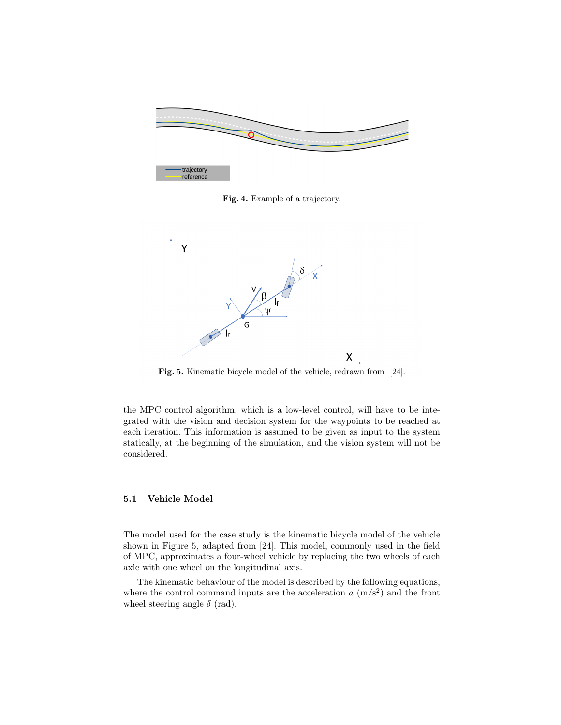

Fig. 4. Example of a trajectory.



Fig. 5. Kinematic bicycle model of the vehicle, redrawn from [24].

the MPC control algorithm, which is a low-level control, will have to be integrated with the vision and decision system for the waypoints to be reached at each iteration. This information is assumed to be given as input to the system statically, at the beginning of the simulation, and the vision system will not be considered.

# 5.1 Vehicle Model

The model used for the case study is the kinematic bicycle model of the vehicle shown in Figure 5, adapted from [24]. This model, commonly used in the field of MPC, approximates a four-wheel vehicle by replacing the two wheels of each axle with one wheel on the longitudinal axis.

The kinematic behaviour of the model is described by the following equations, where the control command inputs are the acceleration  $a \, (\text{m/s}^2)$  and the front wheel steering angle  $\delta$  (rad).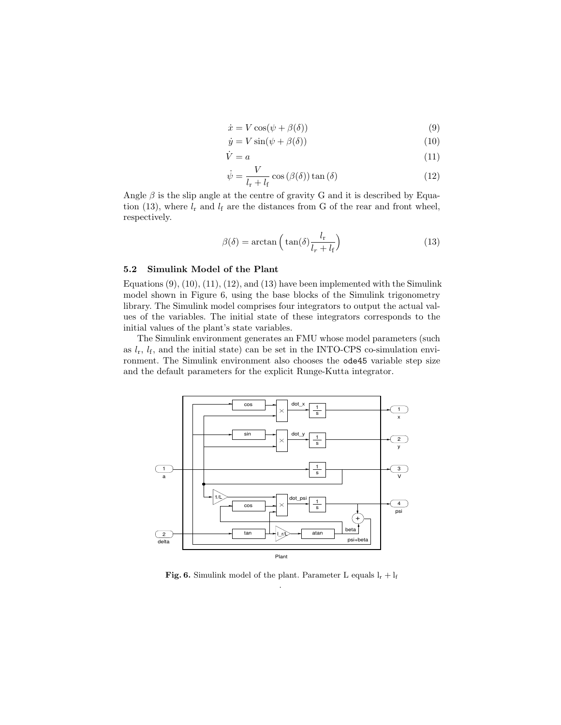$$
\dot{x} = V\cos(\psi + \beta(\delta))\tag{9}
$$

$$
\dot{y} = V\sin(\psi + \beta(\delta))\tag{10}
$$

$$
\dot{V} = a \tag{11}
$$

$$
\dot{\psi} = \frac{V}{l_{\rm r} + l_{\rm f}} \cos\left(\beta(\delta)\right) \tan\left(\delta\right) \tag{12}
$$

Angle  $\beta$  is the slip angle at the centre of gravity G and it is described by Equation (13), where  $l_r$  and  $l_f$  are the distances from G of the rear and front wheel, respectively.

$$
\beta(\delta) = \arctan\left(\tan(\delta)\frac{l_{\rm r}}{l_{\rm r} + l_{\rm f}}\right) \tag{13}
$$

#### 5.2 Simulink Model of the Plant

Equations  $(9)$ ,  $(10)$ ,  $(11)$ ,  $(12)$ , and  $(13)$  have been implemented with the Simulink model shown in Figure 6, using the base blocks of the Simulink trigonometry library. The Simulink model comprises four integrators to output the actual values of the variables. The initial state of these integrators corresponds to the initial values of the plant's state variables.

The Simulink environment generates an FMU whose model parameters (such as  $l_{\rm r}$ ,  $l_{\rm f}$ , and the initial state) can be set in the INTO-CPS co-simulation environment. The Simulink environment also chooses the ode45 variable step size and the default parameters for the explicit Runge-Kutta integrator.



Fig. 6. Simulink model of the plant. Parameter L equals  $l_r + l_f$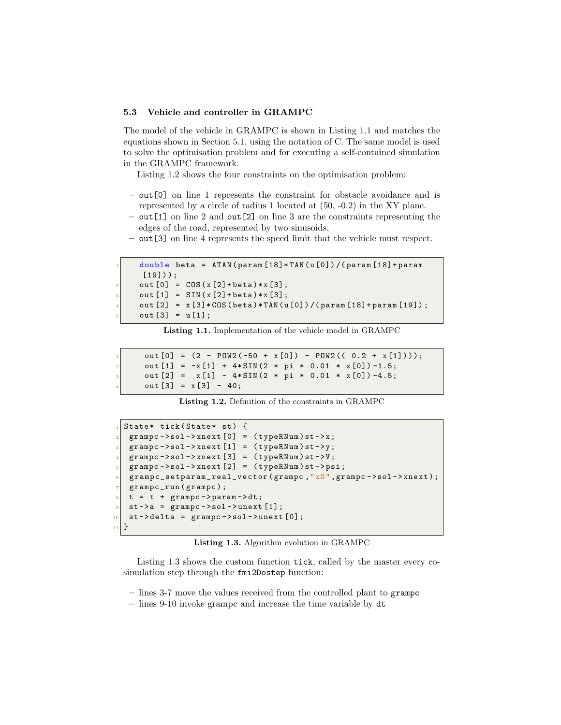#### 5.3 Vehicle and controller in GRAMPC

The model of the vehicle in GRAMPC is shown in Listing 1.1 and matches the equations shown in Section 5.1, using the notation of C. The same model is used to solve the optimisation problem and for executing a self-contained simulation in the GRAMPC framework.

Listing 1.2 shows the four constraints on the optimisation problem:

- out[0] on line 1 represents the constraint for obstacle avoidance and is represented by a circle of radius 1 located at (50, -0.2) in the XY plane.
- out[1] on line 2 and out[2] on line 3 are the constraints representing the edges of the road, represented by two sinusoids,
- out[3] on line 4 represents the speed limit that the vehicle must respect.

```
double beta = ATAN (param [18]*TAN (u[0]) / (param [18]+param
[19]);
out [0] = \text{COS}(x[2] + \text{beta} * x[3];out [1] = SIN(x[2]+beta)*x[3];out [2] = x [3] * COS (beta) * TAN (u [0]) / (param [18] + param [19]);
out [3] = u[1];
```
Listing 1.1. Implementation of the vehicle model in GRAMPC

| $out[0] = (2 - P0W2(-50 + x[0]) - P0W2(( 0.2 + x[1])))$  |  |
|----------------------------------------------------------|--|
| out $[1] = -x [1] + 4* SIN(2 * pi * 0.01 * x [0]) -1.5;$ |  |
| $out[2] = x[1] - 4*SIM(2 * pi * 0.01 * x[0]) - 4.5;$     |  |
| out $[3] = x[3] - 40$ ;                                  |  |

Listing 1.2. Definition of the constraints in GRAMPC

```
State* tick (State* st) {
   grampc - > sol - > xnext[0] = (typeRNum)st - >x;grampc - > sol - > xnext [1] = (typeRNum) st - > y;grame - > sol - > xnext [3] = (typeRNum) st - > V;grame - > sol - > xnext [2] = (typeRNum) st - >psi;grampc_setparam_real_vector (grampc, "x0", grampc->sol->xnext);
    grampc_run (grampc);
    t = t + \text{grame} - \text{~param} - \text{~d}t;
9 \mid \text{st} \rightarrow a = \text{grame} \rightarrow \text{sol} \rightarrow \text{unext} [1];_{10} st->delta = grampc->sol->unext [0];
11 }
```
Listing 1.3. Algorithm evolution in GRAMPC

Listing 1.3 shows the custom function tick, called by the master every cosimulation step through the fmi2Dostep function:

- lines 3-7 move the values received from the controlled plant to grampc
- lines 9-10 invoke grampc and increase the time variable by dt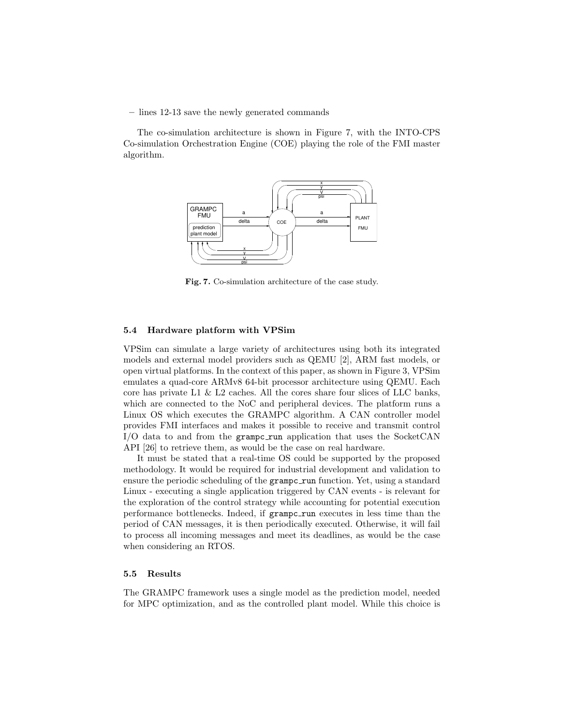– lines 12-13 save the newly generated commands

The co-simulation architecture is shown in Figure 7, with the INTO-CPS Co-simulation Orchestration Engine (COE) playing the role of the FMI master algorithm.



Fig. 7. Co-simulation architecture of the case study.

#### 5.4 Hardware platform with VPSim

VPSim can simulate a large variety of architectures using both its integrated models and external model providers such as QEMU [2], ARM fast models, or open virtual platforms. In the context of this paper, as shown in Figure 3, VPSim emulates a quad-core ARMv8 64-bit processor architecture using QEMU. Each core has private L1 & L2 caches. All the cores share four slices of LLC banks, which are connected to the NoC and peripheral devices. The platform runs a Linux OS which executes the GRAMPC algorithm. A CAN controller model provides FMI interfaces and makes it possible to receive and transmit control I/O data to and from the grampc run application that uses the SocketCAN API [26] to retrieve them, as would be the case on real hardware.

It must be stated that a real-time OS could be supported by the proposed methodology. It would be required for industrial development and validation to ensure the periodic scheduling of the grampc\_run function. Yet, using a standard Linux - executing a single application triggered by CAN events - is relevant for the exploration of the control strategy while accounting for potential execution performance bottlenecks. Indeed, if grampc run executes in less time than the period of CAN messages, it is then periodically executed. Otherwise, it will fail to process all incoming messages and meet its deadlines, as would be the case when considering an RTOS.

#### 5.5 Results

The GRAMPC framework uses a single model as the prediction model, needed for MPC optimization, and as the controlled plant model. While this choice is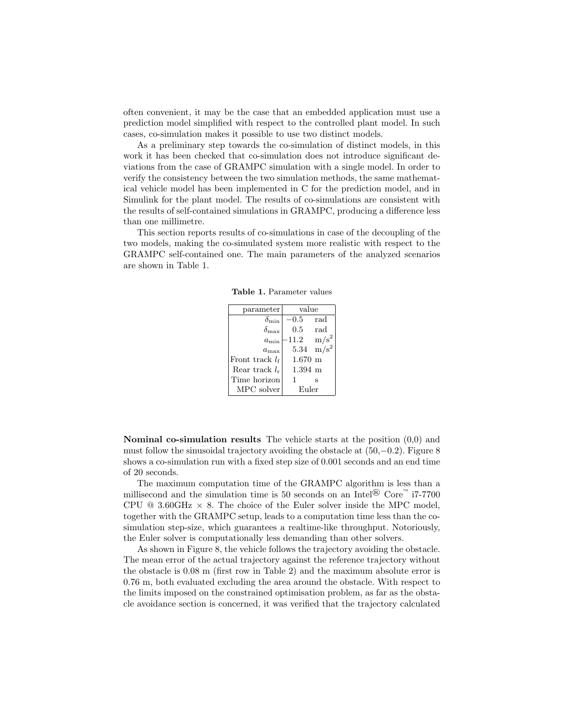often convenient, it may be the case that an embedded application must use a prediction model simplified with respect to the controlled plant model. In such cases, co-simulation makes it possible to use two distinct models.

As a preliminary step towards the co-simulation of distinct models, in this work it has been checked that co-simulation does not introduce significant deviations from the case of GRAMPC simulation with a single model. In order to verify the consistency between the two simulation methods, the same mathematical vehicle model has been implemented in C for the prediction model, and in Simulink for the plant model. The results of co-simulations are consistent with the results of self-contained simulations in GRAMPC, producing a difference less than one millimetre.

This section reports results of co-simulations in case of the decoupling of the two models, making the co-simulated system more realistic with respect to the GRAMPC self-contained one. The main parameters of the analyzed scenarios are shown in Table 1.

Table 1. Parameter values

| parameter          | value     |         |
|--------------------|-----------|---------|
| $\delta_{\rm min}$ | $-0.5\,$  | rad     |
| $\delta_{\rm max}$ | 0.5       | rad     |
| $a_{\min}$         | 11.2      | $m/s^2$ |
| $a_{\text{max}}$   | 5.34      | $m/s^2$ |
| Front track $l_f$  | $1.670$ m |         |
| Rear track $l_r$   | $1.394$ m |         |
| Time horizon       | 1         | S       |
| MPC solver         | Euler     |         |

**Nominal co-simulation results** The vehicle starts at the position  $(0,0)$  and must follow the sinusoidal trajectory avoiding the obstacle at  $(50,−0.2)$ . Figure 8 shows a co-simulation run with a fixed step size of 0.001 seconds and an end time of 20 seconds.

The maximum computation time of the GRAMPC algorithm is less than a millisecond and the simulation time is 50 seconds on an Intel<sup>®</sup> Core<sup>™</sup> i7-7700 CPU  $@3.60\text{GHz} \times 8$ . The choice of the Euler solver inside the MPC model, together with the GRAMPC setup, leads to a computation time less than the cosimulation step-size, which guarantees a realtime-like throughput. Notoriously, the Euler solver is computationally less demanding than other solvers.

As shown in Figure 8, the vehicle follows the trajectory avoiding the obstacle. The mean error of the actual trajectory against the reference trajectory without the obstacle is 0.08 m (first row in Table 2) and the maximum absolute error is 0.76 m, both evaluated excluding the area around the obstacle. With respect to the limits imposed on the constrained optimisation problem, as far as the obstacle avoidance section is concerned, it was verified that the trajectory calculated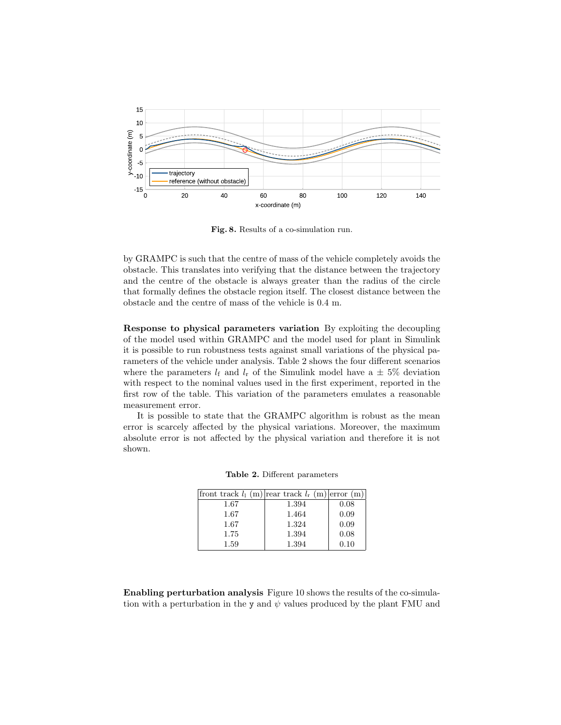

Fig. 8. Results of a co-simulation run.

by GRAMPC is such that the centre of mass of the vehicle completely avoids the obstacle. This translates into verifying that the distance between the trajectory and the centre of the obstacle is always greater than the radius of the circle that formally defines the obstacle region itself. The closest distance between the obstacle and the centre of mass of the vehicle is 0.4 m.

Response to physical parameters variation By exploiting the decoupling of the model used within GRAMPC and the model used for plant in Simulink it is possible to run robustness tests against small variations of the physical parameters of the vehicle under analysis. Table 2 shows the four different scenarios where the parameters  $l_f$  and  $l_r$  of the Simulink model have a  $\pm$  5% deviation with respect to the nominal values used in the first experiment, reported in the first row of the table. This variation of the parameters emulates a reasonable measurement error.

It is possible to state that the GRAMPC algorithm is robust as the mean error is scarcely affected by the physical variations. Moreover, the maximum absolute error is not affected by the physical variation and therefore it is not shown.

| front track $l_1$ (m) rear track $l_r$ (m) error (m) |       |      |
|------------------------------------------------------|-------|------|
| 1.67                                                 | 1.394 | 0.08 |
| 1.67                                                 | 1.464 | 0.09 |
| 1.67                                                 | 1.324 | 0.09 |
| 1.75                                                 | 1.394 | 0.08 |
| 1.59                                                 | 1.394 | 0.10 |

Table 2. Different parameters

Enabling perturbation analysis Figure 10 shows the results of the co-simulation with a perturbation in the y and  $\psi$  values produced by the plant FMU and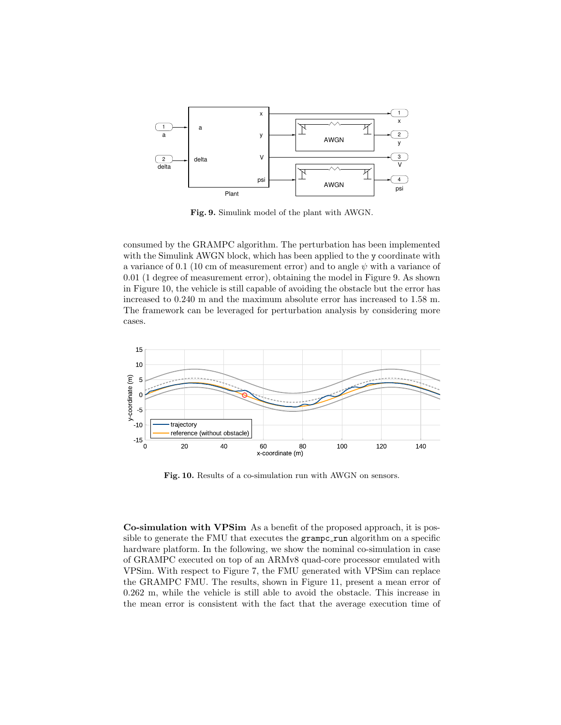

Fig. 9. Simulink model of the plant with AWGN.

consumed by the GRAMPC algorithm. The perturbation has been implemented with the Simulink AWGN block, which has been applied to the y coordinate with a variance of 0.1 (10 cm of measurement error) and to angle  $\psi$  with a variance of 0.01 (1 degree of measurement error), obtaining the model in Figure 9. As shown in Figure 10, the vehicle is still capable of avoiding the obstacle but the error has increased to 0.240 m and the maximum absolute error has increased to 1.58 m. The framework can be leveraged for perturbation analysis by considering more cases.



Fig. 10. Results of a co-simulation run with AWGN on sensors.

Co-simulation with VPSim As a benefit of the proposed approach, it is possible to generate the FMU that executes the grampc\_run algorithm on a specific hardware platform. In the following, we show the nominal co-simulation in case of GRAMPC executed on top of an ARMv8 quad-core processor emulated with VPSim. With respect to Figure 7, the FMU generated with VPSim can replace the GRAMPC FMU. The results, shown in Figure 11, present a mean error of 0.262 m, while the vehicle is still able to avoid the obstacle. This increase in the mean error is consistent with the fact that the average execution time of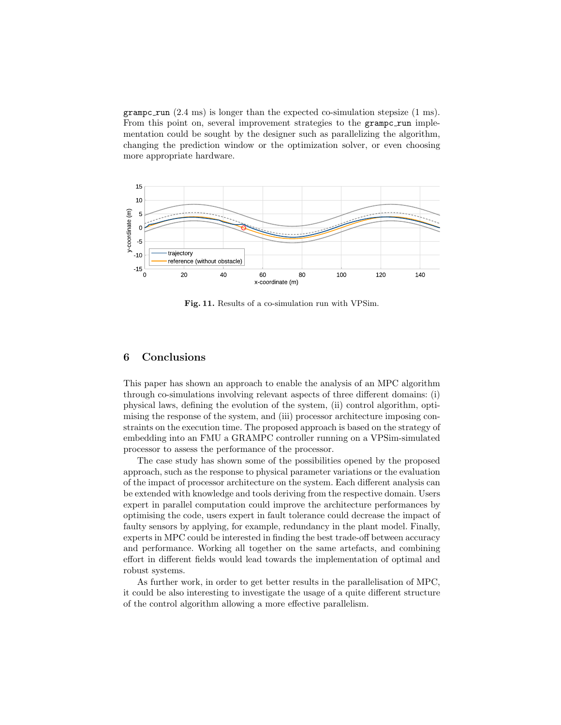$grame\_run$   $(2.4 \text{ ms})$  is longer than the expected co-simulation stepsize  $(1 \text{ ms})$ . From this point on, several improvement strategies to the grampc\_run implementation could be sought by the designer such as parallelizing the algorithm, changing the prediction window or the optimization solver, or even choosing more appropriate hardware.



Fig. 11. Results of a co-simulation run with VPSim.

# 6 Conclusions

This paper has shown an approach to enable the analysis of an MPC algorithm through co-simulations involving relevant aspects of three different domains: (i) physical laws, defining the evolution of the system, (ii) control algorithm, optimising the response of the system, and (iii) processor architecture imposing constraints on the execution time. The proposed approach is based on the strategy of embedding into an FMU a GRAMPC controller running on a VPSim-simulated processor to assess the performance of the processor.

The case study has shown some of the possibilities opened by the proposed approach, such as the response to physical parameter variations or the evaluation of the impact of processor architecture on the system. Each different analysis can be extended with knowledge and tools deriving from the respective domain. Users expert in parallel computation could improve the architecture performances by optimising the code, users expert in fault tolerance could decrease the impact of faulty sensors by applying, for example, redundancy in the plant model. Finally, experts in MPC could be interested in finding the best trade-off between accuracy and performance. Working all together on the same artefacts, and combining effort in different fields would lead towards the implementation of optimal and robust systems.

As further work, in order to get better results in the parallelisation of MPC, it could be also interesting to investigate the usage of a quite different structure of the control algorithm allowing a more effective parallelism.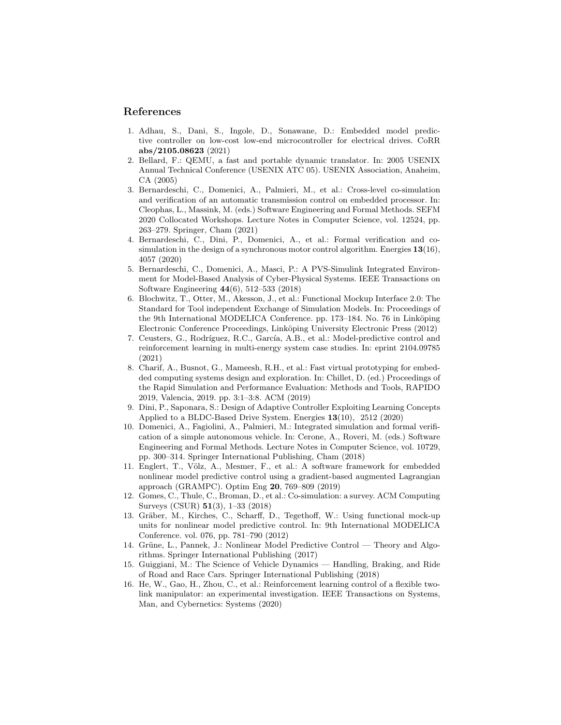# References

- 1. Adhau, S., Dani, S., Ingole, D., Sonawane, D.: Embedded model predictive controller on low-cost low-end microcontroller for electrical drives. CoRR abs/2105.08623 (2021)
- 2. Bellard, F.: QEMU, a fast and portable dynamic translator. In: 2005 USENIX Annual Technical Conference (USENIX ATC 05). USENIX Association, Anaheim, CA (2005)
- 3. Bernardeschi, C., Domenici, A., Palmieri, M., et al.: Cross-level co-simulation and verification of an automatic transmission control on embedded processor. In: Cleophas, L., Massink, M. (eds.) Software Engineering and Formal Methods. SEFM 2020 Collocated Workshops. Lecture Notes in Computer Science, vol. 12524, pp. 263–279. Springer, Cham (2021)
- 4. Bernardeschi, C., Dini, P., Domenici, A., et al.: Formal verification and cosimulation in the design of a synchronous motor control algorithm. Energies  $13(16)$ , 4057 (2020)
- 5. Bernardeschi, C., Domenici, A., Masci, P.: A PVS-Simulink Integrated Environment for Model-Based Analysis of Cyber-Physical Systems. IEEE Transactions on Software Engineering 44(6), 512–533 (2018)
- 6. Blochwitz, T., Otter, M., Akesson, J., et al.: Functional Mockup Interface 2.0: The Standard for Tool independent Exchange of Simulation Models. In: Proceedings of the 9th International MODELICA Conference. pp. 173–184. No. 76 in Linköping Electronic Conference Proceedings, Linköping University Electronic Press (2012)
- 7. Ceusters, G., Rodríguez, R.C., García, A.B., et al.: Model-predictive control and reinforcement learning in multi-energy system case studies. In: eprint 2104.09785 (2021)
- 8. Charif, A., Busnot, G., Mameesh, R.H., et al.: Fast virtual prototyping for embedded computing systems design and exploration. In: Chillet, D. (ed.) Proceedings of the Rapid Simulation and Performance Evaluation: Methods and Tools, RAPIDO 2019, Valencia, 2019. pp. 3:1–3:8. ACM (2019)
- 9. Dini, P., Saponara, S.: Design of Adaptive Controller Exploiting Learning Concepts Applied to a BLDC-Based Drive System. Energies 13(10), 2512 (2020)
- 10. Domenici, A., Fagiolini, A., Palmieri, M.: Integrated simulation and formal verification of a simple autonomous vehicle. In: Cerone, A., Roveri, M. (eds.) Software Engineering and Formal Methods. Lecture Notes in Computer Science, vol. 10729, pp. 300–314. Springer International Publishing, Cham (2018)
- 11. Englert, T., Völz, A., Mesmer, F., et al.: A software framework for embedded nonlinear model predictive control using a gradient-based augmented Lagrangian approach (GRAMPC). Optim Eng 20, 769–809 (2019)
- 12. Gomes, C., Thule, C., Broman, D., et al.: Co-simulation: a survey. ACM Computing Surveys (CSUR) 51(3), 1–33 (2018)
- 13. Gräber, M., Kirches, C., Scharff, D., Tegethoff, W.: Using functional mock-up units for nonlinear model predictive control. In: 9th International MODELICA Conference. vol. 076, pp. 781–790 (2012)
- 14. Grüne, L., Pannek, J.: Nonlinear Model Predictive Control Theory and Algorithms. Springer International Publishing (2017)
- 15. Guiggiani, M.: The Science of Vehicle Dynamics Handling, Braking, and Ride of Road and Race Cars. Springer International Publishing (2018)
- 16. He, W., Gao, H., Zhou, C., et al.: Reinforcement learning control of a flexible twolink manipulator: an experimental investigation. IEEE Transactions on Systems, Man, and Cybernetics: Systems (2020)